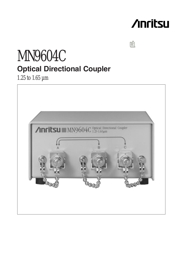# **/inritsu**

# MN9604C **Optical Directional Coupler**

1.25 to 1.65 µm

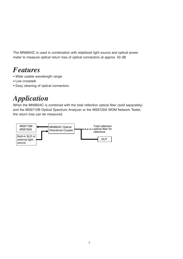The MN9604C is used in combination with stabilized light source and optical power meter to measure optical return loss of optical connectors at approx. 50 dB.

# *Features*

- Wide usable wavelength range
- Low crosstalk
- Easy cleaning of optical connectors

# *Application*

When the MN9604C is combined with the total reflection optical fiber (sold separately) and the MS9710B Optical Spectrum Analyzer or the MS9720A WDM Network Tester, the return loss can be measured.

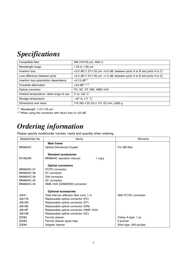|  | <b>Specifications</b> |
|--|-----------------------|

| Compatible fiber                        | SM (10/125 $\mu$ m, NA0.1)                                                        |  |
|-----------------------------------------|-----------------------------------------------------------------------------------|--|
| Wavelength range                        | 1.25 to 1.65 $\mu$ m                                                              |  |
| Insertion loss                          | $<$ 5.5 dB (1.31/1.55 $\mu$ m: $<$ 5.0 dB, between ports A to B and ports A to C) |  |
| Loss difference between ports           | <2.2 dB (1.31/1.55 $\mu$ m: <1.5 dB, between ports A to B and ports A to C)       |  |
| Insertion loss polarization dependency  | $< 0.15$ dB <sup>*1</sup>                                                         |  |
| Crosstalk attenuation                   | >54 dB*1,*2                                                                       |  |
| Optical connector                       | FC, SC, ST, DIN, HMS-10/A                                                         |  |
| Ambient temperature, rated range of use | $0^\circ$ to +50 $^\circ$ C                                                       |  |
| Storage temperature                     | $-40^{\circ}$ to $+71^{\circ}$ C                                                  |  |
| Dimensions and mass                     | 110 (W) x 52 (H) x 121 (D) mm, ≤500 g                                             |  |

 $*1$  Wavelength: 1.31/1.55  $\mu$ m

\*2 When using the connector with return loss of >53 dB

# *Ordering information*

Please specify model/order number, name and quantity when ordering.

| Model/Order No. | Name                                      | Remarks                 |
|-----------------|-------------------------------------------|-------------------------|
|                 | <b>Main frame</b>                         |                         |
| MN9604C         | <b>Optical Directional Coupler</b>        | For SM fiber            |
|                 |                                           |                         |
|                 | <b>Standard accessories</b>               |                         |
| <b>W1563AE</b>  | MN9604C operation manual:<br>1 copy       |                         |
|                 |                                           |                         |
|                 | <b>Optical connectors</b>                 |                         |
| MN9604C-37      | FC/PC connector                           |                         |
| MN9604C-38      | ST connector                              |                         |
| MN9604C-39      | DIN connector                             |                         |
| MN9604C-40      | <b>SC</b> connector                       |                         |
| MN9604C-43      | HMS-10/A (DIAMOND) connector              |                         |
|                 |                                           |                         |
|                 | <b>Optional accessories</b>               |                         |
| J0441           | Total internal reflection fiber cord, 1 m | With FC.PC connector    |
| J0617B          | Replaceable optical connector (FC)        |                         |
| J0618D          | Replaceable optical connector (ST)        |                         |
| J0618E          | Replaceable optical connector (DIN)       |                         |
| J0618F          | Replaceable optical connector (HMS-10/A)  |                         |
| J0619B          | Replaceable optical connector (SC)        |                         |
| Z0282           | Ferrule cleaner                           | Cletop A-type, 1 pc     |
| Z0283           | Ferrule cleaner spare tape                | 6 pcs/set               |
| Z0284           | Adapter cleaner                           | Stick type, 200 pcs/set |